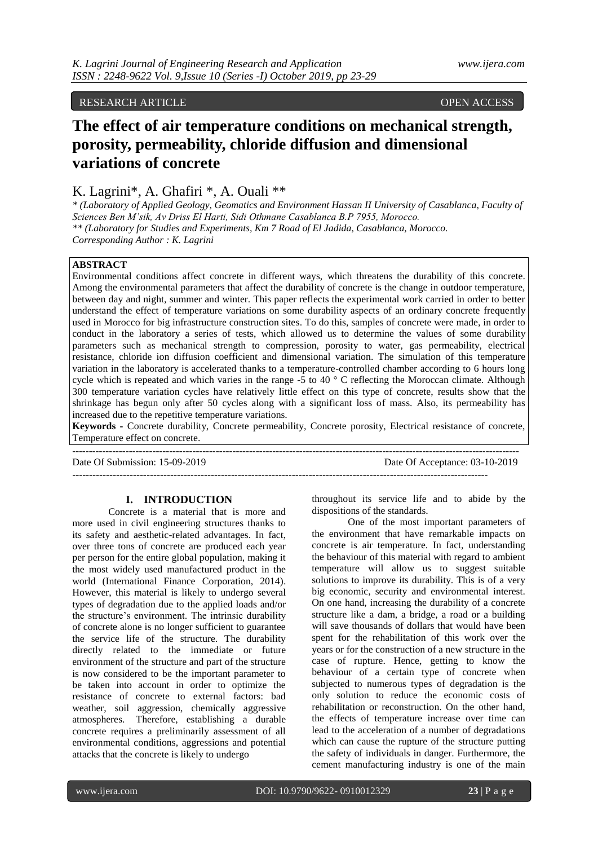# RESEARCH ARTICLE OPEN ACCESS OPEN ACCESS

# **The effect of air temperature conditions on mechanical strength, porosity, permeability, chloride diffusion and dimensional variations of concrete**

# K. Lagrini\*, A. Ghafiri \*, A. Ouali \*\*

*\* (Laboratory of Applied Geology, Geomatics and Environment Hassan II University of Casablanca, Faculty of Sciences Ben M'sik, Av Driss El Harti, Sidi Othmane Casablanca B.P 7955, Morocco. \*\* (Laboratory for Studies and Experiments, Km 7 Road of El Jadida, Casablanca, Morocco. Corresponding Author : K. Lagrini*

# **ABSTRACT**

Environmental conditions affect concrete in different ways, which threatens the durability of this concrete. Among the environmental parameters that affect the durability of concrete is the change in outdoor temperature, between day and night, summer and winter. This paper reflects the experimental work carried in order to better understand the effect of temperature variations on some durability aspects of an ordinary concrete frequently used in Morocco for big infrastructure construction sites. To do this, samples of concrete were made, in order to conduct in the laboratory a series of tests, which allowed us to determine the values of some durability parameters such as mechanical strength to compression, porosity to water, gas permeability, electrical resistance, chloride ion diffusion coefficient and dimensional variation. The simulation of this temperature variation in the laboratory is accelerated thanks to a temperature-controlled chamber according to 6 hours long cycle which is repeated and which varies in the range -5 to 40  $\degree$  C reflecting the Moroccan climate. Although 300 temperature variation cycles have relatively little effect on this type of concrete, results show that the shrinkage has begun only after 50 cycles along with a significant loss of mass. Also, its permeability has increased due to the repetitive temperature variations.

**Keywords -** Concrete durability, Concrete permeability, Concrete porosity, Electrical resistance of concrete, Temperature effect on concrete.

--------------------------------------------------------------------------------------------------------------------------------------

Date Of Submission: 15-09-2019 Date Of Acceptance: 03-10-2019

---------------------------------------------------------------------------------------------------------------------------

# **I. INTRODUCTION**

Concrete is a material that is more and more used in civil engineering structures thanks to its safety and aesthetic-related advantages. In fact, over three tons of concrete are produced each year per person for the entire global population, making it the most widely used manufactured product in the world (International Finance Corporation, 2014). However, this material is likely to undergo several types of degradation due to the applied loads and/or the structure's environment. The intrinsic durability of concrete alone is no longer sufficient to guarantee the service life of the structure. The durability directly related to the immediate or future environment of the structure and part of the structure is now considered to be the important parameter to be taken into account in order to optimize the resistance of concrete to external factors: bad weather, soil aggression, chemically aggressive atmospheres. Therefore, establishing a durable concrete requires a preliminarily assessment of all environmental conditions, aggressions and potential attacks that the concrete is likely to undergo

throughout its service life and to abide by the dispositions of the standards.

One of the most important parameters of the environment that have remarkable impacts on concrete is air temperature. In fact, understanding the behaviour of this material with regard to ambient temperature will allow us to suggest suitable solutions to improve its durability. This is of a very big economic, security and environmental interest. On one hand, increasing the durability of a concrete structure like a dam, a bridge, a road or a building will save thousands of dollars that would have been spent for the rehabilitation of this work over the years or for the construction of a new structure in the case of rupture. Hence, getting to know the behaviour of a certain type of concrete when subjected to numerous types of degradation is the only solution to reduce the economic costs of rehabilitation or reconstruction. On the other hand, the effects of temperature increase over time can lead to the acceleration of a number of degradations which can cause the rupture of the structure putting the safety of individuals in danger. Furthermore, the cement manufacturing industry is one of the main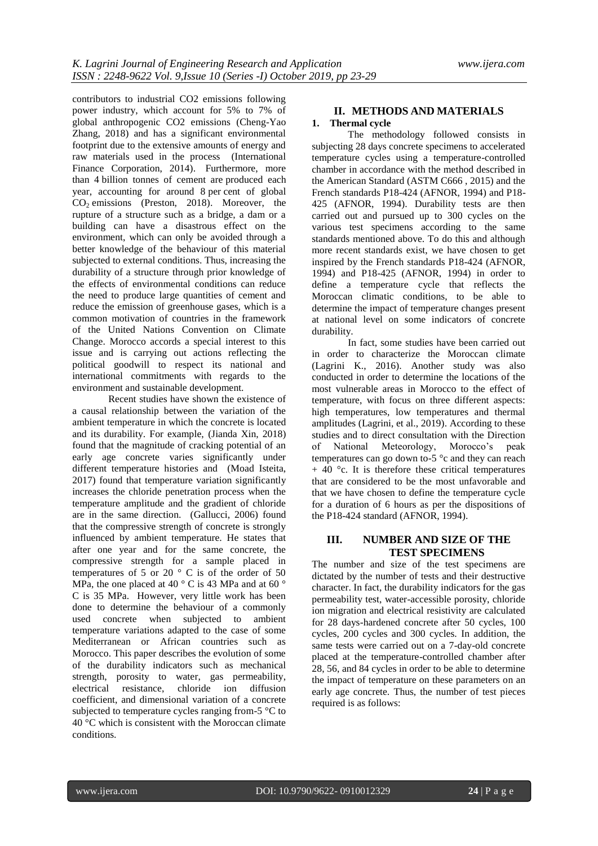contributors to industrial CO2 emissions following power industry, which account for 5% to 7% of global anthropogenic CO2 emissions (Cheng-Yao Zhang, 2018) and has a significant environmental footprint due to the extensive amounts of energy and raw materials used in the process (International Finance Corporation, 2014). Furthermore, more than 4 billion tonnes of cement are produced each year, accounting for around 8 per cent of global CO<sub>2</sub> emissions (Preston, 2018). Moreover, the rupture of a structure such as a bridge, a dam or a building can have a disastrous effect on the environment, which can only be avoided through a better knowledge of the behaviour of this material subjected to external conditions. Thus, increasing the durability of a structure through prior knowledge of the effects of environmental conditions can reduce the need to produce large quantities of cement and reduce the emission of greenhouse gases, which is a common motivation of countries in the framework of the United Nations Convention on Climate Change. Morocco accords a special interest to this issue and is carrying out actions reflecting the political goodwill to respect its national and international commitments with regards to the environment and sustainable development.

Recent studies have shown the existence of a causal relationship between the variation of the ambient temperature in which the concrete is located and its durability. For example, (Jianda Xin, 2018) found that the magnitude of cracking potential of an early age concrete varies significantly under different temperature histories and (Moad Isteita, 2017) found that temperature variation significantly increases the chloride penetration process when the temperature amplitude and the gradient of chloride are in the same direction. (Gallucci, 2006) found that the compressive strength of concrete is strongly influenced by ambient temperature. He states that after one year and for the same concrete, the compressive strength for a sample placed in temperatures of 5 or 20 $\degree$  C is of the order of 50 MPa, the one placed at 40  $\degree$  C is 43 MPa and at 60  $\degree$ C is 35 MPa. However, very little work has been done to determine the behaviour of a commonly used concrete when subjected to ambient temperature variations adapted to the case of some Mediterranean or African countries such as Morocco. This paper describes the evolution of some of the durability indicators such as mechanical strength, porosity to water, gas permeability, electrical resistance, chloride ion diffusion coefficient, and dimensional variation of a concrete subjected to temperature cycles ranging from-5 °C to 40 °C which is consistent with the Moroccan climate conditions.

## **II. METHODS AND MATERIALS 1. Thermal cycle**

The methodology followed consists in subjecting 28 days concrete specimens to accelerated temperature cycles using a temperature-controlled chamber in accordance with the method described in the American Standard (ASTM C666 , 2015) and the French standards P18-424 (AFNOR, 1994) and P18- 425 (AFNOR, 1994). Durability tests are then carried out and pursued up to 300 cycles on the various test specimens according to the same standards mentioned above. To do this and although more recent standards exist, we have chosen to get inspired by the French standards P18-424 (AFNOR, 1994) and P18-425 (AFNOR, 1994) in order to define a temperature cycle that reflects the Moroccan climatic conditions, to be able to determine the impact of temperature changes present at national level on some indicators of concrete durability.

In fact, some studies have been carried out in order to characterize the Moroccan climate (Lagrini K., 2016). Another study was also conducted in order to determine the locations of the most vulnerable areas in Morocco to the effect of temperature, with focus on three different aspects: high temperatures, low temperatures and thermal amplitudes (Lagrini, et al., 2019). According to these studies and to direct consultation with the Direction<br>of National Meteorology, Morocco's peak of National Meteorology, temperatures can go down to-5 °c and they can reach  $+$  40 °c. It is therefore these critical temperatures that are considered to be the most unfavorable and that we have chosen to define the temperature cycle for a duration of 6 hours as per the dispositions of the P18-424 standard (AFNOR, 1994).

# **III. NUMBER AND SIZE OF THE TEST SPECIMENS**

The number and size of the test specimens are dictated by the number of tests and their destructive character. In fact, the durability indicators for the gas permeability test, water-accessible porosity, chloride ion migration and electrical resistivity are calculated for 28 days-hardened concrete after 50 cycles, 100 cycles, 200 cycles and 300 cycles. In addition, the same tests were carried out on a 7-day-old concrete placed at the temperature-controlled chamber after 28, 56, and 84 cycles in order to be able to determine the impact of temperature on these parameters on an early age concrete. Thus, the number of test pieces required is as follows: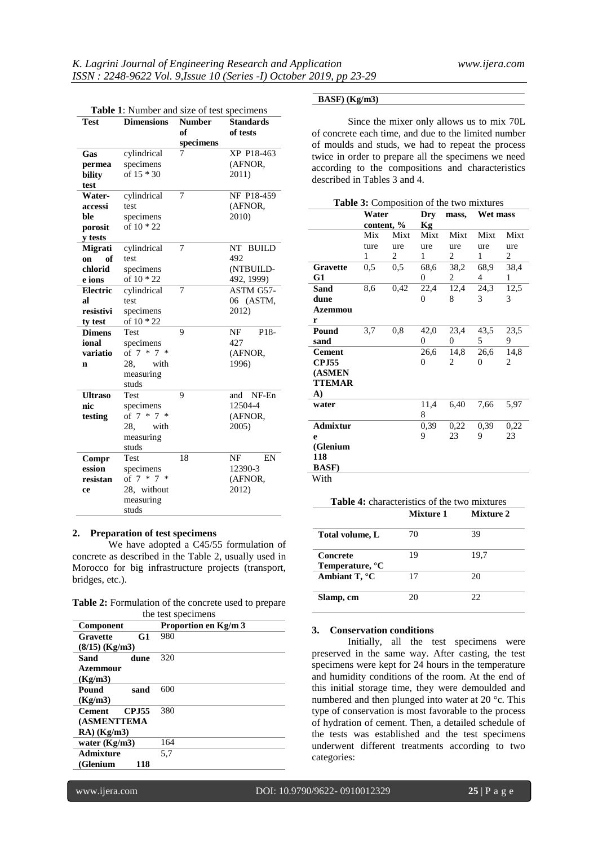| <b>Table 1:</b> Number and size of test specimens |                         |               |                  |  |
|---------------------------------------------------|-------------------------|---------------|------------------|--|
| <b>Test</b>                                       | <b>Dimensions</b>       | <b>Number</b> | <b>Standards</b> |  |
|                                                   |                         | of            | of tests         |  |
|                                                   |                         | specimens     |                  |  |
| Gas                                               | cylindrical             | XP P18-463    |                  |  |
| permea                                            | specimens               |               | (AFNOR,          |  |
| bility                                            | of $15 * 30$            |               | 2011)            |  |
| test                                              |                         |               |                  |  |
| Water-                                            | cylindrical             | 7             | NF P18-459       |  |
| accessi                                           | test                    |               | (AFNOR,          |  |
| ble                                               | specimens               |               | 2010)            |  |
| porosit                                           | of 10 * 22              |               |                  |  |
| y tests                                           |                         |               |                  |  |
| Migrati                                           | cylindrical             | 7             | NT BUILD         |  |
| of<br>on                                          | test                    |               | 492              |  |
| chlorid                                           | specimens               |               | (NTBUILD-        |  |
| e ions                                            | of 10 * 22              |               | 492, 1999)       |  |
| <b>Electric</b>                                   | cylindrical             | 7             | ASTM G57-        |  |
| яl                                                | test                    |               | 06 (ASTM,        |  |
| resistivi                                         | specimens               |               | 2012)            |  |
| ty test                                           | of 10 * 22              |               |                  |  |
| <b>Dimens</b>                                     | Test                    | 9             | P18-<br>NF       |  |
| ional                                             | specimens               |               | 427              |  |
| variatio                                          | of $7 * 7 *$<br>(AFNOR, |               |                  |  |
| n                                                 | 28.<br>with             |               | 1996)            |  |
|                                                   | measuring               |               |                  |  |
|                                                   | studs                   |               |                  |  |
| <b>Ultraso</b>                                    | <b>Test</b>             | 9             | NF-En<br>and     |  |
| nic                                               | specimens               |               | 12504-4          |  |
| testing                                           | of $7 * 7 *$            |               | (AFNOR,          |  |
|                                                   | 28.<br>with             |               | 2005)            |  |
|                                                   | measuring               |               |                  |  |
|                                                   | studs                   |               |                  |  |
| Compr                                             | Test                    | 18            | NF<br>EN         |  |
| ession                                            | specimens               | 12390-3       |                  |  |
| resistan                                          | of $7 * 7$<br>∗         |               | (AFNOR,          |  |
| ce                                                | 28, without             |               | 2012)            |  |
|                                                   | measuring               |               |                  |  |
|                                                   | studs                   |               |                  |  |

#### **2. Preparation of test specimens**

We have adopted a C45/55 formulation of concrete as described in the Table 2, usually used in Morocco for big infrastructure projects (transport, bridges, etc.).

|  |                    | Table 2: Formulation of the concrete used to prepare |
|--|--------------------|------------------------------------------------------|
|  | the test specimens |                                                      |

| Component                      | Proportion en Kg/m 3 |  |  |
|--------------------------------|----------------------|--|--|
| G1<br>Gravette                 | 980                  |  |  |
| $(8/15)$ (Kg/m3)               |                      |  |  |
| Sand<br>dune                   | 320                  |  |  |
| Azemmour                       |                      |  |  |
| (Kg/m3)                        |                      |  |  |
| Pound<br>sand                  | 600                  |  |  |
| (Kg/m3)                        |                      |  |  |
| <b>Cement</b><br><b>CP.155</b> | 380                  |  |  |
| <b>(ASMENTTEMA</b>             |                      |  |  |
| $RA)$ (Kg/m3)                  |                      |  |  |
| water $(Kg/m3)$                | 164                  |  |  |
| Admixture                      | 5.7                  |  |  |
| (Glenium<br>118                |                      |  |  |

#### **BASF) (Kg/m3)**

Since the mixer only allows us to mix 70L of concrete each time, and due to the limited number of moulds and studs, we had to repeat the process twice in order to prepare all the specimens we need according to the compositions and characteristics described in Tables 3 and 4.

| Table 3: Composition of the two mixtures |                     |                         |                |       |          |      |
|------------------------------------------|---------------------|-------------------------|----------------|-------|----------|------|
|                                          | Water<br>content, % |                         | Dry            | mass, | Wet mass |      |
|                                          |                     |                         | Kg             |       |          |      |
|                                          | Mix                 | Mixt                    | Mixt           | Mixt  | Mixt     | Mixt |
|                                          | ture                | ure                     | ure            | ure   | ure      | ure  |
|                                          | 1                   | $\overline{\mathbf{c}}$ | 1              | 2     | 1        | 2    |
| <b>Gravette</b>                          | $0.5^{\circ}$       | $0.5^{\circ}$           | 68,6           | 38,2  | 68,9     | 38,4 |
| G1                                       |                     |                         | 0              | 2     | 4        | 1    |
| Sand                                     | 8,6                 | 0.42                    | 22,4           | 12,4  | 24,3     | 12,5 |
| dune                                     |                     |                         | 0              | 8     | 3        | 3    |
| Azemmou                                  |                     |                         |                |       |          |      |
| r                                        |                     |                         |                |       |          |      |
| Pound                                    | 3.7                 | 0,8                     | 42,0           | 23,4  | 43,5     | 23,5 |
| sand                                     |                     |                         | $\overline{0}$ | 0     | 5        | 9    |
| <b>Cement</b>                            |                     |                         | 26,6           | 14,8  | 26,6     | 14,8 |
| <b>CPJ55</b>                             |                     |                         | 0              | 2     | 0        | 2    |
| (ASMEN                                   |                     |                         |                |       |          |      |
| <b>TTEMAR</b>                            |                     |                         |                |       |          |      |
| A)                                       |                     |                         |                |       |          |      |
| water                                    |                     |                         | 11,4           | 6,40  | 7,66     | 5.97 |
|                                          |                     |                         | 8              |       |          |      |
| <b>Admixtur</b>                          |                     |                         | 0,39           | 0,22  | 0,39     | 0,22 |
| e                                        |                     |                         | 9              | 23    | 9        | 23   |
| (Glenium                                 |                     |                         |                |       |          |      |
| 118                                      |                     |                         |                |       |          |      |
| <b>BASF</b> )                            |                     |                         |                |       |          |      |
| With                                     |                     |                         |                |       |          |      |

| <b>Table 4:</b> characteristics of the two mixtures |           |           |  |
|-----------------------------------------------------|-----------|-----------|--|
|                                                     | Mixture 1 | Mixture 2 |  |
| Total volume, L                                     | 70        | 39        |  |
| Concrete<br>Temperature, °C                         | 19        | 19.7      |  |
| Ambiant T, °C                                       | 17        | 20        |  |
| Slamp, cm                                           |           | 22        |  |

#### **3. Conservation conditions**

Initially, all the test specimens were preserved in the same way. After casting, the test specimens were kept for 24 hours in the temperature and humidity conditions of the room. At the end of this initial storage time, they were demoulded and numbered and then plunged into water at 20 °c. This type of conservation is most favorable to the process of hydration of cement. Then, a detailed schedule of the tests was established and the test specimens underwent different treatments according to two categories: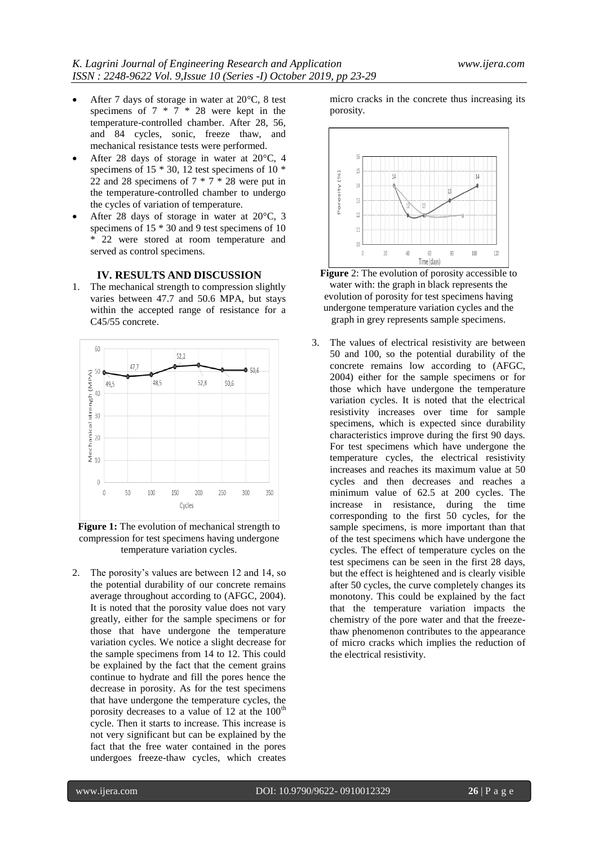- After 7 days of storage in water at 20°C, 8 test specimens of 7 \* 7 \* 28 were kept in the temperature-controlled chamber. After 28, 56, and 84 cycles, sonic, freeze thaw, and mechanical resistance tests were performed.
- After 28 days of storage in water at 20°C, 4 specimens of 15 \* 30, 12 test specimens of 10 \* 22 and 28 specimens of  $7 * 7 * 28$  were put in the temperature-controlled chamber to undergo the cycles of variation of temperature.
- After 28 days of storage in water at 20°C, 3 specimens of 15  $*$  30 and 9 test specimens of 10 \* 22 were stored at room temperature and served as control specimens.

# **IV. RESULTS AND DISCUSSION**

1. The mechanical strength to compression slightly varies between 47.7 and 50.6 MPA, but stays within the accepted range of resistance for a C45/55 concrete.



**Figure 1:** The evolution of mechanical strength to compression for test specimens having undergone temperature variation cycles.

2. The porosity's values are between 12 and 14, so the potential durability of our concrete remains average throughout according to (AFGC, 2004). It is noted that the porosity value does not vary greatly, either for the sample specimens or for those that have undergone the temperature variation cycles. We notice a slight decrease for the sample specimens from 14 to 12. This could be explained by the fact that the cement grains continue to hydrate and fill the pores hence the decrease in porosity. As for the test specimens that have undergone the temperature cycles, the porosity decreases to a value of 12 at the  $100<sup>th</sup>$ cycle. Then it starts to increase. This increase is not very significant but can be explained by the fact that the free water contained in the pores undergoes freeze-thaw cycles, which creates micro cracks in the concrete thus increasing its porosity.





3. The values of electrical resistivity are between 50 and 100, so the potential durability of the concrete remains low according to (AFGC, 2004) either for the sample specimens or for those which have undergone the temperature variation cycles. It is noted that the electrical resistivity increases over time for sample specimens, which is expected since durability characteristics improve during the first 90 days. For test specimens which have undergone the temperature cycles, the electrical resistivity increases and reaches its maximum value at 50 cycles and then decreases and reaches a minimum value of 62.5 at 200 cycles. The increase in resistance, during the time corresponding to the first 50 cycles, for the sample specimens, is more important than that of the test specimens which have undergone the cycles. The effect of temperature cycles on the test specimens can be seen in the first 28 days, but the effect is heightened and is clearly visible after 50 cycles, the curve completely changes its monotony. This could be explained by the fact that the temperature variation impacts the chemistry of the pore water and that the freezethaw phenomenon contributes to the appearance of micro cracks which implies the reduction of the electrical resistivity.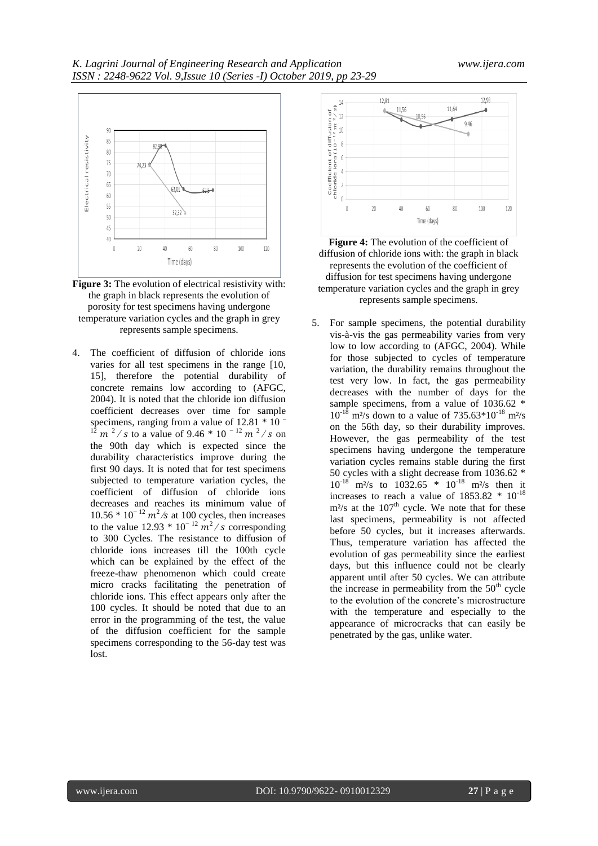

**Figure 3:** The evolution of electrical resistivity with: the graph in black represents the evolution of porosity for test specimens having undergone temperature variation cycles and the graph in grey represents sample specimens.

4. The coefficient of diffusion of chloride ions varies for all test specimens in the range [10, 15], therefore the potential durability of concrete remains low according to (AFGC, 2004). It is noted that the chloride ion diffusion coefficient decreases over time for sample specimens, ranging from a value of  $12.81 * 10^{-7}$  $12 \text{ m}^2$  / s to a value of 9.46 \* 10<sup>-12</sup> m<sup>2</sup>/s on the 90th day which is expected since the durability characteristics improve during the first 90 days. It is noted that for test specimens subjected to temperature variation cycles, the coefficient of diffusion of chloride ions decreases and reaches its minimum value of  $10.56 * 10^{-12} m^2$ /s at 100 cycles, then increases to the value 12.93  $* 10^{-12}$   $m^2$  / s corresponding to 300 Cycles. The resistance to diffusion of chloride ions increases till the 100th cycle which can be explained by the effect of the freeze-thaw phenomenon which could create micro cracks facilitating the penetration of chloride ions. This effect appears only after the 100 cycles. It should be noted that due to an error in the programming of the test, the value of the diffusion coefficient for the sample specimens corresponding to the 56-day test was lost.





5. For sample specimens, the potential durability vis-à-vis the gas permeability varies from very low to low according to (AFGC, 2004). While for those subjected to cycles of temperature variation, the durability remains throughout the test very low. In fact, the gas permeability decreases with the number of days for the sample specimens, from a value of 1036.62  $*$  $10^{-18}$  m<sup>2</sup>/s down to a value of 735.63\*10<sup>-18</sup> m<sup>2</sup>/s on the 56th day, so their durability improves. However, the gas permeability of the test specimens having undergone the temperature variation cycles remains stable during the first 50 cycles with a slight decrease from 1036.62  $*$ <br>10<sup>-18</sup> m<sup>2</sup>/s to 1032.65  $*$  10<sup>-18</sup> m<sup>2</sup>/s then it  $m^2$ /s to  $1032.65 * 10^{-18}$  m<sup>2</sup>/s then it increases to reach a value of  $1853.82 \div 10^{-18}$  $m<sup>2</sup>/s$  at the  $107<sup>th</sup>$  cycle. We note that for these last specimens, permeability is not affected before 50 cycles, but it increases afterwards. Thus, temperature variation has affected the evolution of gas permeability since the earliest days, but this influence could not be clearly apparent until after 50 cycles. We can attribute the increase in permeability from the  $50<sup>th</sup>$  cycle to the evolution of the concrete's microstructure with the temperature and especially to the appearance of microcracks that can easily be penetrated by the gas, unlike water.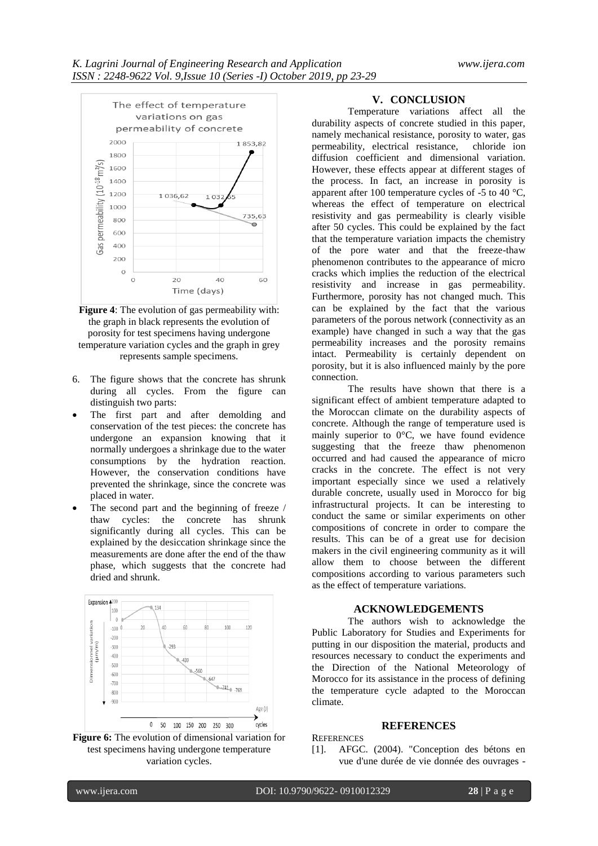



- 6. The figure shows that the concrete has shrunk during all cycles. From the figure can distinguish two parts:
- The first part and after demolding and conservation of the test pieces: the concrete has undergone an expansion knowing that it normally undergoes a shrinkage due to the water consumptions by the hydration reaction. However, the conservation conditions have prevented the shrinkage, since the concrete was placed in water.
- The second part and the beginning of freeze / thaw cycles: the concrete has shrunk significantly during all cycles. This can be explained by the desiccation shrinkage since the measurements are done after the end of the thaw phase, which suggests that the concrete had dried and shrunk.





## **V. CONCLUSION**

Temperature variations affect all the durability aspects of concrete studied in this paper, namely mechanical resistance, porosity to water, gas permeability, electrical resistance, chloride ion diffusion coefficient and dimensional variation. However, these effects appear at different stages of the process. In fact, an increase in porosity is apparent after 100 temperature cycles of -5 to 40 °C, whereas the effect of temperature on electrical resistivity and gas permeability is clearly visible after 50 cycles. This could be explained by the fact that the temperature variation impacts the chemistry of the pore water and that the freeze-thaw phenomenon contributes to the appearance of micro cracks which implies the reduction of the electrical resistivity and increase in gas permeability. Furthermore, porosity has not changed much. This can be explained by the fact that the various parameters of the porous network (connectivity as an example) have changed in such a way that the gas permeability increases and the porosity remains intact. Permeability is certainly dependent on porosity, but it is also influenced mainly by the pore connection.

The results have shown that there is a significant effect of ambient temperature adapted to the Moroccan climate on the durability aspects of concrete. Although the range of temperature used is mainly superior to 0°C, we have found evidence suggesting that the freeze thaw phenomenon occurred and had caused the appearance of micro cracks in the concrete. The effect is not very important especially since we used a relatively durable concrete, usually used in Morocco for big infrastructural projects. It can be interesting to conduct the same or similar experiments on other compositions of concrete in order to compare the results. This can be of a great use for decision makers in the civil engineering community as it will allow them to choose between the different compositions according to various parameters such as the effect of temperature variations.

# **ACKNOWLEDGEMENTS**

The authors wish to acknowledge the Public Laboratory for Studies and Experiments for putting in our disposition the material, products and resources necessary to conduct the experiments and the Direction of the National Meteorology of Morocco for its assistance in the process of defining the temperature cycle adapted to the Moroccan climate.

## **REFERENCES**

**REFERENCES** 

[1]. AFGC. (2004). "Conception des bétons en vue d'une durée de vie donnée des ouvrages -